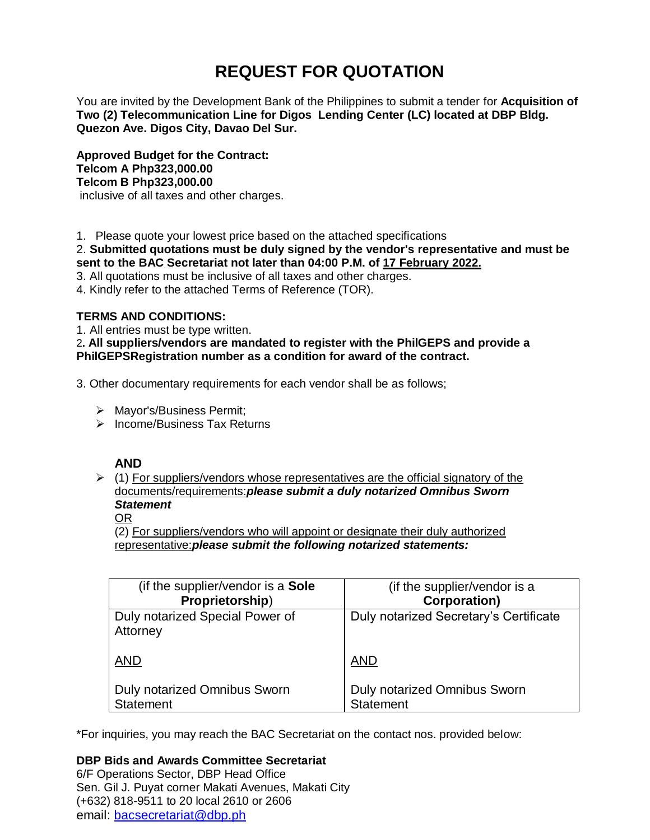# **REQUEST FOR QUOTATION**

You are invited by the Development Bank of the Philippines to submit a tender for **Acquisition of Two (2) Telecommunication Line for Digos Lending Center (LC) located at DBP Bldg. Quezon Ave. Digos City, Davao Del Sur.**

**Approved Budget for the Contract: Telcom A Php323,000.00 Telcom B Php323,000.00** inclusive of all taxes and other charges.

1. Please quote your lowest price based on the attached specifications

2. **Submitted quotations must be duly signed by the vendor's representative and must be sent to the BAC Secretariat not later than 04:00 P.M. of 17 February 2022.**

3. All quotations must be inclusive of all taxes and other charges.

4. Kindly refer to the attached Terms of Reference (TOR).

# **TERMS AND CONDITIONS:**

1. All entries must be type written.

2**. All suppliers/vendors are mandated to register with the PhilGEPS and provide a PhilGEPSRegistration number as a condition for award of the contract.**

3. Other documentary requirements for each vendor shall be as follows;

- > Mayor's/Business Permit;
- $\triangleright$  Income/Business Tax Returns

# **AND**

 $\geq$  (1) For suppliers/vendors whose representatives are the official signatory of the documents/requirements:*please submit a duly notarized Omnibus Sworn Statement*

# OR

(2) For suppliers/vendors who will appoint or designate their duly authorized representative:*please submit the following notarized statements:*

| (if the supplier/vendor is a Sole           | (if the supplier/vendor is a           |
|---------------------------------------------|----------------------------------------|
| Proprietorship)                             | <b>Corporation)</b>                    |
| Duly notarized Special Power of<br>Attorney | Duly notarized Secretary's Certificate |
| <b>AND</b>                                  | <b>AND</b>                             |
| <b>Duly notarized Omnibus Sworn</b>         | <b>Duly notarized Omnibus Sworn</b>    |
| <b>Statement</b>                            | <b>Statement</b>                       |

\*For inquiries, you may reach the BAC Secretariat on the contact nos. provided below:

# **DBP Bids and Awards Committee Secretariat**

6/F Operations Sector, DBP Head Office Sen. Gil J. Puyat corner Makati Avenues, Makati City (+632) 818-9511 to 20 local 2610 or 2606 email: [bacsecretariat@dbp.ph](mailto:bacsecretariat@dbp.ph)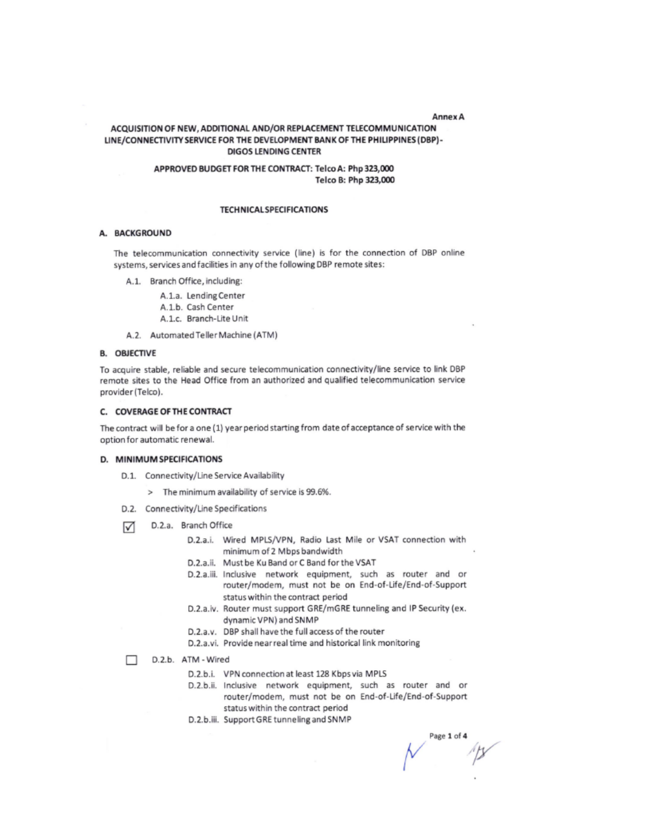#### Anney A

## ACQUISITION OF NEW, ADDITIONAL AND/OR REPLACEMENT TELECOMMUNICATION LINE/CONNECTIVITY SERVICE FOR THE DEVELOPMENT BANK OF THE PHILIPPINES (DBP)-**DIGOS LENDING CENTER**

## APPROVED BUDGET FOR THE CONTRACT: Telco A: Php 323,000 Telco B: Php 323,000

#### **TECHNICAL SPECIFICATIONS**

## A. BACKGROUND

The telecommunication connectivity service (line) is for the connection of DBP online systems, services and facilities in any of the following DBP remote sites:

- A.1. Branch Office, including:
	- A.1.a. Lending Center
	- A.1.b. Cash Center
	- A.1.c. Branch-Lite Unit
- A.2. Automated Teller Machine (ATM)

#### **B. OBJECTIVE**

To acquire stable, reliable and secure telecommunication connectivity/line service to link DBP remote sites to the Head Office from an authorized and qualified telecommunication service provider (Telco).

## C. COVERAGE OF THE CONTRACT

The contract will be for a one (1) year period starting from date of acceptance of service with the option for automatic renewal.

#### D. MINIMUM SPECIFICATIONS

- D.1. Connectivity/Line Service Availability
	- > The minimum availability of service is 99.6%.
- D.2. Connectivity/Line Specifications
- D.2.a. Branch Office ☑
	- D.2.a.i. Wired MPLS/VPN, Radio Last Mile or VSAT connection with minimum of 2 Mbps bandwidth
	- D.2.a.ii. Must be Ku Band or C Band for the VSAT
	- D.2.a.iii. Inclusive network equipment, such as router and or router/modem, must not be on End-of-Life/End-of-Support status within the contract period
	- D.2.a.iv. Router must support GRE/mGRE tunneling and IP Security (ex. dynamic VPN) and SNMP
	- D.2.a.v. DBP shall have the full access of the router
	- D.2.a.vi. Provide near real time and historical link monitoring
- П D.2.b. ATM - Wired
	- D.2.b.i. VPN connection at least 128 Kbps via MPLS
	- D.2.b.ii. Inclusive network equipment, such as router and or router/modem, must not be on End-of-Life/End-of-Support status within the contract period
	- D.2.b.iii. Support GRE tunneling and SNMP

Page 1 of 4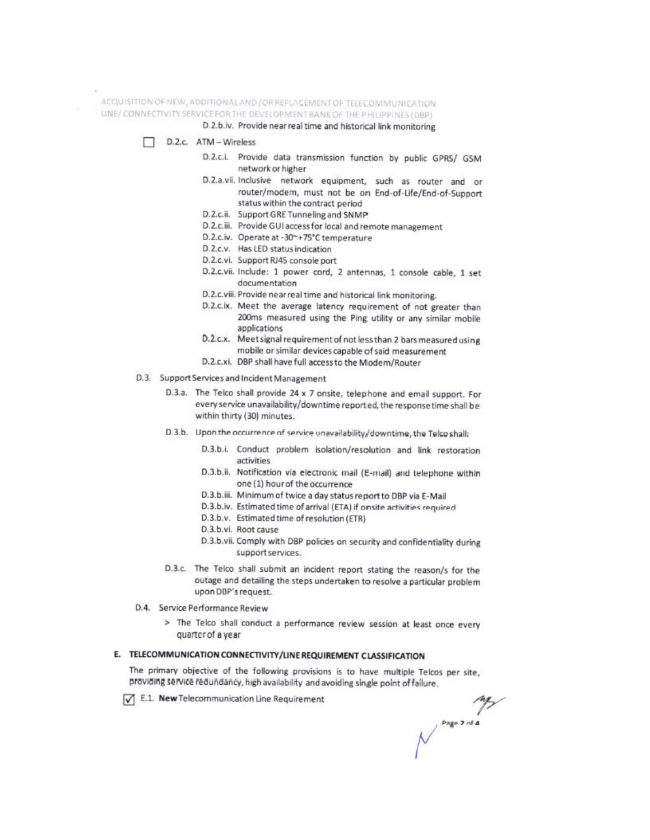ACQUISITION OF NEW, ADDITIONAL AND / OR REPLACEMENT OF TELECOMMUNICATION

LINE/CONNECTIVITY SERVICE FOR THE DEVELOPMENT BANK OF THE PHILIPPINES (DBP)

D.2.b.iv. Provide near real time and historical link monitoring

D.2.c. ATM-Wireless

- D.2.c.i. Provide data transmission function by public GPRS/ GSM network or higher
- D.2.a.vii. Inclusive network equipment, such as router and or router/modem, must not be on End-of-Life/End-of-Support status within the contract period
- D.2.c.ii. Support GRE Tunneling and SNMP
- D.2.c.iii. Provide GUI access for local and remote management
- D.2.c.iv. Operate at -30~+75°C temperature
- D.2.c.v. Has LED status indication
- D.2.c.vi. Support RJ45 console port
- D.2.c.vii. Include: 1 power cord, 2 antennas, 1 console cable, 1 set documentation
- D.2.c.viii. Provide near real time and historical link monitoring.
- D.2.c.ix. Meet the average latency requirement of not greater than 200ms measured using the Ping utility or any similar mobile applications
- D.2.c.x. Meet signal requirement of not less than 2 bars measured using mobile or similar devices capable of said measurement
- D.2.c.xi. DBP shall have full access to the Modem/Router
- D.3. Support Services and Incident Management
	- D.3.a. The Telco shall provide 24 x 7 onsite, telephone and email support. For every service unavailability/downtime reported, the response time shall be within thirty (30) minutes.
	- D.3.b. Upon the occurrence of service unavailability/downtime, the Telco shall:
		- D.3.b.i. Conduct problem isolation/resolution and link restoration activities
		- D.3.b.ii. Notification via electronic mail (E-mail) and telephone within one (1) hour of the occurrence
		- D.3.b.iii. Minimum of twice a day status report to DBP via E-Mail
		- D.3.b.iv. Estimated time of arrival (ETA) if onsite activities required
		- D.3.b.v. Estimated time of resolution (ETR)
		- D.3.b.vi. Root cause
		- D.3.b.vii. Comply with DBP policies on security and confidentiality during support services.
	- D.3.c. The Telco shall submit an incident report stating the reason/s for the outage and detailing the steps undertaken to resolve a particular problem upon DBP's request.
- D.4. Service Performance Review
	- > The Telco shall conduct a performance review session at least once every quarter of a year

## E. TELECOMMUNICATION CONNECTIVITY/LINE REQUIREMENT CLASSIFICATION

The primary objective of the following provisions is to have multiple Telcos per site, providing service redundancy, high availability and avoiding single point of failure.

E.1. New Telecommunication Line Requirement

**MANUS DESCRIPTION**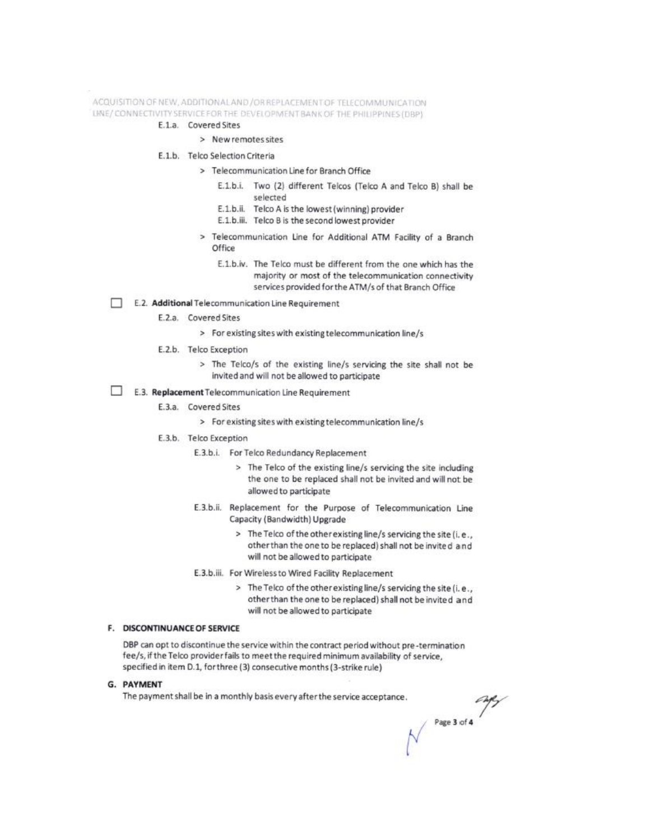ACQUISITION OF NEW, ADDITIONAL AND / OR REPLACEMENT OF TELECOMMUNICATION LINE/CONNECTIVITY SERVICE FOR THE DEVELOPMENT BANK OF THE PHILIPPINES (DBP)

- E.1.a. Covered Sites
	- > New remotes sites
- E.1.b. Telco Selection Criteria
	- > Telecommunication Line for Branch Office
		- E.1.b.i. Two (2) different Telcos (Telco A and Telco B) shall be selected
		- E.1.b.ii. Telco A is the lowest (winning) provider
		- E.1.b.iii. Telco B is the second lowest provider
	- > Telecommunication Line for Additional ATM Facility of a Branch Office
		- E.1.b.iv. The Telco must be different from the one which has the majority or most of the telecommunication connectivity services provided for the ATM/s of that Branch Office
- E.2. Additional Telecommunication Line Requirement п
	- E.2.a. Covered Sites
		- > For existing sites with existing telecommunication line/s
	- E.2.b. Telco Exception
		- > The Telco/s of the existing line/s servicing the site shall not be invited and will not be allowed to participate
- п E.3. Replacement Telecommunication Line Requirement
	- E.3.a. Covered Sites
		- > For existing sites with existing telecommunication line/s
	- E.3.b. Telco Exception
		- E.3.b.i. For Telco Redundancy Replacement
			- > The Telco of the existing line/s servicing the site including the one to be replaced shall not be invited and will not be allowed to participate
		- E.3.b.ii. Replacement for the Purpose of Telecommunication Line Capacity (Bandwidth) Upgrade
			- > The Telco of the other existing line/s servicing the site (i.e., other than the one to be replaced) shall not be invited and will not be allowed to participate
		- E.3.b.iii. For Wireless to Wired Facility Replacement
			- > The Telco of the other existing line/s servicing the site (i.e., other than the one to be replaced) shall not be invited and will not be allowed to participate

#### F. DISCONTINUANCE OF SERVICE

DBP can opt to discontinue the service within the contract period without pre-termination fee/s, if the Telco provider fails to meet the required minimum availability of service, specified in item D.1, for three (3) consecutive months (3-strike rule)

**G. PAYMENT** 

The payment shall be in a monthly basis every after the service acceptance.

Page 3 of 4